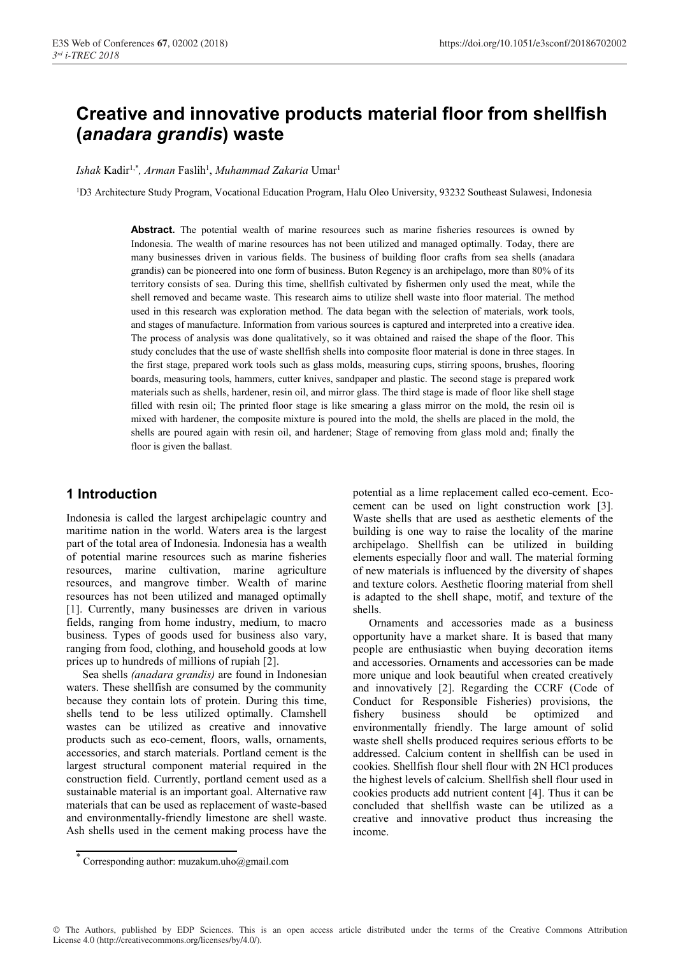# **Creative and innovative products material floor from shellfish (***anadara grandis***) waste**

Ishak Kadir<sup>1,\*</sup>, Arman Faslih<sup>1</sup>, Muhammad Zakaria Umar<sup>1</sup>

1D3 Architecture Study Program, Vocational Education Program, Halu Oleo University, 93232 Southeast Sulawesi, Indonesia

Abstract. The potential wealth of marine resources such as marine fisheries resources is owned by Indonesia. The wealth of marine resources has not been utilized and managed optimally. Today, there are many businesses driven in various fields. The business of building floor crafts from sea shells (anadara grandis) can be pioneered into one form of business. Buton Regency is an archipelago, more than 80% of its territory consists of sea. During this time, shellfish cultivated by fishermen only used the meat, while the shell removed and became waste. This research aims to utilize shell waste into floor material. The method used in this research was exploration method. The data began with the selection of materials, work tools, and stages of manufacture. Information from various sources is captured and interpreted into a creative idea. The process of analysis was done qualitatively, so it was obtained and raised the shape of the floor. This study concludes that the use of waste shellfish shells into composite floor material is done in three stages. In the first stage, prepared work tools such as glass molds, measuring cups, stirring spoons, brushes, flooring boards, measuring tools, hammers, cutter knives, sandpaper and plastic. The second stage is prepared work materials such as shells, hardener, resin oil, and mirror glass. The third stage is made of floor like shell stage filled with resin oil; The printed floor stage is like smearing a glass mirror on the mold, the resin oil is mixed with hardener, the composite mixture is poured into the mold, the shells are placed in the mold, the shells are poured again with resin oil, and hardener; Stage of removing from glass mold and; finally the floor is given the ballast.

# **1 Introduction**

Indonesia is called the largest archipelagic country and maritime nation in the world. Waters area is the largest part of the total area of Indonesia. Indonesia has a wealth of potential marine resources such as marine fisheries resources, marine cultivation, marine agriculture resources, and mangrove timber. Wealth of marine resources has not been utilized and managed optimally [1]. Currently, many businesses are driven in various fields, ranging from home industry, medium, to macro business. Types of goods used for business also vary, ranging from food, clothing, and household goods at low prices up to hundreds of millions of rupiah [2].

Sea shells *(anadara grandis)* are found in Indonesian waters. These shellfish are consumed by the community because they contain lots of protein. During this time, shells tend to be less utilized optimally. Clamshell wastes can be utilized as creative and innovative products such as eco-cement, floors, walls, ornaments, accessories, and starch materials. Portland cement is the largest structural component material required in the construction field. Currently, portland cement used as a sustainable material is an important goal. Alternative raw materials that can be used as replacement of waste-based and environmentally-friendly limestone are shell waste. Ash shells used in the cement making process have the potential as a lime replacement called eco-cement. Ecocement can be used on light construction work [3]. Waste shells that are used as aesthetic elements of the building is one way to raise the locality of the marine archipelago. Shellfish can be utilized in building elements especially floor and wall. The material forming of new materials is influenced by the diversity of shapes and texture colors. Aesthetic flooring material from shell is adapted to the shell shape, motif, and texture of the shells.

Ornaments and accessories made as a business opportunity have a market share. It is based that many people are enthusiastic when buying decoration items and accessories. Ornaments and accessories can be made more unique and look beautiful when created creatively and innovatively [2]. Regarding the CCRF (Code of Conduct for Responsible Fisheries) provisions, the fishery business should be optimized and environmentally friendly. The large amount of solid waste shell shells produced requires serious efforts to be addressed. Calcium content in shellfish can be used in cookies. Shellfish flour shell flour with 2N HCl produces the highest levels of calcium. Shellfish shell flour used in cookies products add nutrient content [4]. Thus it can be concluded that shellfish waste can be utilized as a creative and innovative product thus increasing the income.

© The Authors, published by EDP Sciences. This is an open access article distributed under the terms of the Creative Commons Attribution License 4.0 (http://creativecommons.org/licenses/by/4.0/).

Corresponding author: muzakum.uho@gmail.com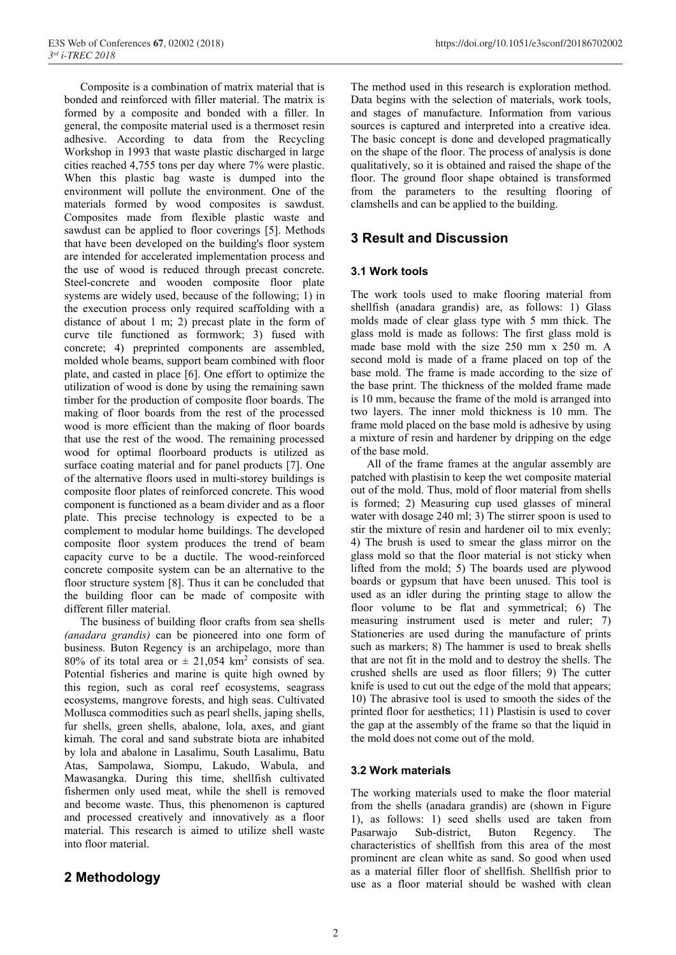Composite is a combination of matrix material that is bonded and reinforced with filler material. The matrix is formed by a composite and bonded with a filler. In general, the composite material used is a thermoset resin adhesive. According to data from the Recycling Workshop in 1993 that waste plastic discharged in large cities reached 4,755 tons per day where 7% were plastic. When this plastic bag waste is dumped into the environment will pollute the environment. One of the materials formed by wood composites is sawdust. Composites made from flexible plastic waste and sawdust can be applied to floor coverings [5]. Methods that have been developed on the building's floor system are intended for accelerated implementation process and the use of wood is reduced through precast concrete. Steel-concrete and wooden composite floor plate systems are widely used, because of the following; 1) in the execution process only required scaffolding with a distance of about 1 m; 2) precast plate in the form of curve tile functioned as formwork; 3) fused with concrete; 4) preprinted components are assembled, molded whole beams, support beam combined with floor plate, and casted in place [6]. One effort to optimize the utilization of wood is done by using the remaining sawn timber for the production of composite floor boards. The making of floor boards from the rest of the processed wood is more efficient than the making of floor boards that use the rest of the wood. The remaining processed wood for optimal floorboard products is utilized as surface coating material and for panel products [7]. One of the alternative floors used in multi-storey buildings is composite floor plates of reinforced concrete. This wood component is functioned as a beam divider and as a floor plate. This precise technology is expected to be a complement to modular home buildings. The developed composite floor system produces the trend of beam capacity curve to be a ductile. The wood-reinforced concrete composite system can be an alternative to the floor structure system [8]. Thus it can be concluded that the building floor can be made of composite with different filler material.

The business of building floor crafts from sea shells *(anadara grandis)* can be pioneered into one form of business. Buton Regency is an archipelago, more than 80% of its total area or  $\pm$  21,054 km<sup>2</sup> consists of sea. Potential fisheries and marine is quite high owned by this region, such as coral reef ecosystems, seagrass ecosystems, mangrove forests, and high seas. Cultivated Mollusca commodities such as pearl shells, japing shells, fur shells, green shells, abalone, lola, axes, and giant kimah. The coral and sand substrate biota are inhabited by lola and abalone in Lasalimu, South Lasalimu, Batu Atas, Sampolawa, Siompu, Lakudo, Wabula, and Mawasangka. During this time, shellfish cultivated fishermen only used meat, while the shell is removed and become waste. Thus, this phenomenon is captured and processed creatively and innovatively as a floor material. This research is aimed to utilize shell waste into floor material.

# **2 Methodology**

The method used in this research is exploration method. Data begins with the selection of materials, work tools, and stages of manufacture. Information from various sources is captured and interpreted into a creative idea. The basic concept is done and developed pragmatically on the shape of the floor. The process of analysis is done qualitatively, so it is obtained and raised the shape of the floor. The ground floor shape obtained is transformed from the parameters to the resulting flooring of clamshells and can be applied to the building.

# **3 Result and Discussion**

## **3.1 Work tools**

The work tools used to make flooring material from shellfish (anadara grandis) are, as follows: 1) Glass molds made of clear glass type with 5 mm thick. The glass mold is made as follows: The first glass mold is made base mold with the size 250 mm x 250 m. A second mold is made of a frame placed on top of the base mold. The frame is made according to the size of the base print. The thickness of the molded frame made is 10 mm, because the frame of the mold is arranged into two layers. The inner mold thickness is 10 mm. The frame mold placed on the base mold is adhesive by using a mixture of resin and hardener by dripping on the edge of the base mold.

All of the frame frames at the angular assembly are patched with plastisin to keep the wet composite material out of the mold. Thus, mold of floor material from shells is formed; 2) Measuring cup used glasses of mineral water with dosage 240 ml; 3) The stirrer spoon is used to stir the mixture of resin and hardener oil to mix evenly; 4) The brush is used to smear the glass mirror on the glass mold so that the floor material is not sticky when lifted from the mold; 5) The boards used are plywood boards or gypsum that have been unused. This tool is used as an idler during the printing stage to allow the floor volume to be flat and symmetrical; 6) The measuring instrument used is meter and ruler; 7) Stationeries are used during the manufacture of prints such as markers; 8) The hammer is used to break shells that are not fit in the mold and to destroy the shells. The crushed shells are used as floor fillers; 9) The cutter knife is used to cut out the edge of the mold that appears; 10) The abrasive tool is used to smooth the sides of the printed floor for aesthetics; 11) Plastisin is used to cover the gap at the assembly of the frame so that the liquid in the mold does not come out of the mold.

## **3.2 Work materials**

The working materials used to make the floor material from the shells (anadara grandis) are (shown in Figure 1), as follows: 1) seed shells used are taken from Pasarwajo Sub-district, Buton Regency. The characteristics of shellfish from this area of the most prominent are clean white as sand. So good when used as a material filler floor of shellfish. Shellfish prior to use as a floor material should be washed with clean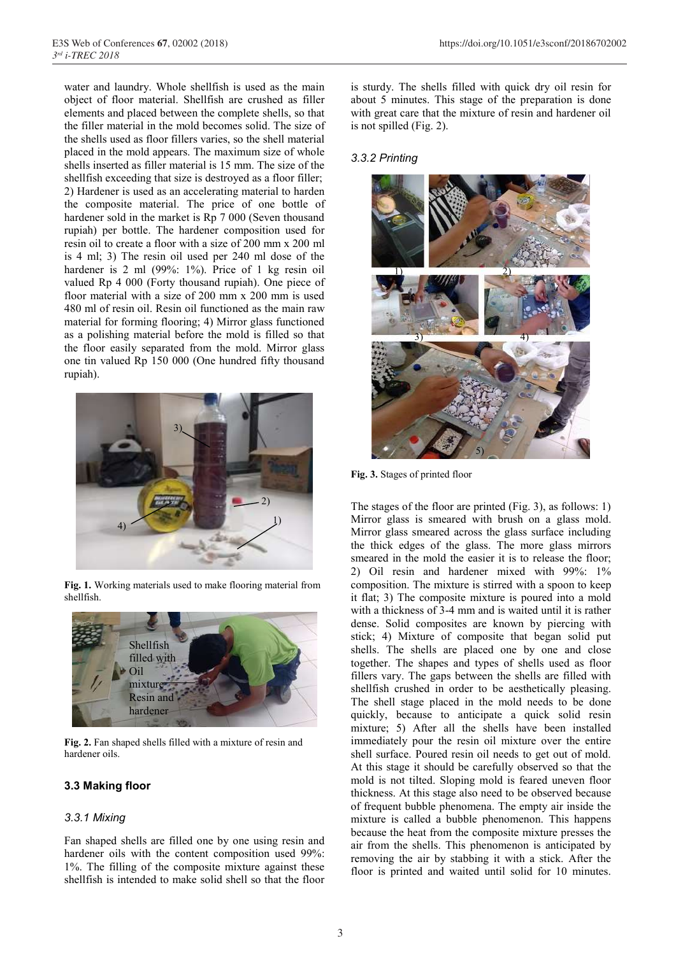water and laundry. Whole shellfish is used as the main object of floor material. Shellfish are crushed as filler elements and placed between the complete shells, so that the filler material in the mold becomes solid. The size of the shells used as floor fillers varies, so the shell material placed in the mold appears. The maximum size of whole shells inserted as filler material is 15 mm. The size of the shellfish exceeding that size is destroyed as a floor filler; 2) Hardener is used as an accelerating material to harden the composite material. The price of one bottle of hardener sold in the market is Rp 7 000 (Seven thousand rupiah) per bottle. The hardener composition used for resin oil to create a floor with a size of 200 mm x 200 ml is 4 ml; 3) The resin oil used per 240 ml dose of the hardener is 2 ml (99%: 1%). Price of 1 kg resin oil valued Rp 4 000 (Forty thousand rupiah). One piece of floor material with a size of 200 mm x 200 mm is used 480 ml of resin oil. Resin oil functioned as the main raw material for forming flooring; 4) Mirror glass functioned as a polishing material before the mold is filled so that the floor easily separated from the mold. Mirror glass one tin valued Rp 150 000 (One hundred fifty thousand rupiah).



**Fig. 1.** Working materials used to make flooring material from shellfish.



**Fig. 2.** Fan shaped shells filled with a mixture of resin and hardener oils.

#### **3.3 Making floor**

#### *3.3.1 Mixing*

Fan shaped shells are filled one by one using resin and hardener oils with the content composition used 99%: 1%. The filling of the composite mixture against these shellfish is intended to make solid shell so that the floor

is sturdy. The shells filled with quick dry oil resin for about 5 minutes. This stage of the preparation is done with great care that the mixture of resin and hardener oil is not spilled (Fig. 2).

#### *3.3.2 Printing*



**Fig. 3.** Stages of printed floor

The stages of the floor are printed (Fig. 3), as follows: 1) Mirror glass is smeared with brush on a glass mold. Mirror glass smeared across the glass surface including the thick edges of the glass. The more glass mirrors smeared in the mold the easier it is to release the floor; 2) Oil resin and hardener mixed with 99%: 1% composition. The mixture is stirred with a spoon to keep it flat; 3) The composite mixture is poured into a mold with a thickness of 3-4 mm and is waited until it is rather dense. Solid composites are known by piercing with stick; 4) Mixture of composite that began solid put shells. The shells are placed one by one and close together. The shapes and types of shells used as floor fillers vary. The gaps between the shells are filled with shellfish crushed in order to be aesthetically pleasing. The shell stage placed in the mold needs to be done quickly, because to anticipate a quick solid resin mixture; 5) After all the shells have been installed immediately pour the resin oil mixture over the entire shell surface. Poured resin oil needs to get out of mold. At this stage it should be carefully observed so that the mold is not tilted. Sloping mold is feared uneven floor thickness. At this stage also need to be observed because of frequent bubble phenomena. The empty air inside the mixture is called a bubble phenomenon. This happens because the heat from the composite mixture presses the air from the shells. This phenomenon is anticipated by removing the air by stabbing it with a stick. After the floor is printed and waited until solid for 10 minutes.